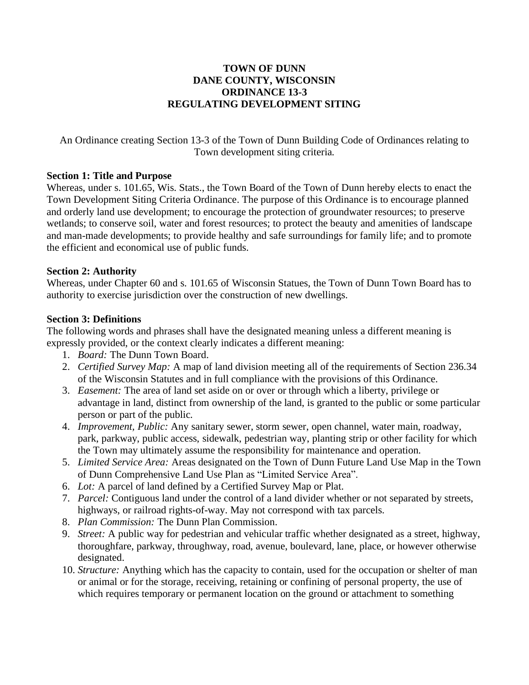### **TOWN OF DUNN DANE COUNTY, WISCONSIN ORDINANCE 13-3 REGULATING DEVELOPMENT SITING**

An Ordinance creating Section 13-3 of the Town of Dunn Building Code of Ordinances relating to Town development siting criteria.

#### **Section 1: Title and Purpose**

Whereas, under s. 101.65, Wis. Stats., the Town Board of the Town of Dunn hereby elects to enact the Town Development Siting Criteria Ordinance. The purpose of this Ordinance is to encourage planned and orderly land use development; to encourage the protection of groundwater resources; to preserve wetlands; to conserve soil, water and forest resources; to protect the beauty and amenities of landscape and man-made developments; to provide healthy and safe surroundings for family life; and to promote the efficient and economical use of public funds.

### **Section 2: Authority**

Whereas, under Chapter 60 and s. 101.65 of Wisconsin Statues, the Town of Dunn Town Board has to authority to exercise jurisdiction over the construction of new dwellings.

### **Section 3: Definitions**

The following words and phrases shall have the designated meaning unless a different meaning is expressly provided, or the context clearly indicates a different meaning:

- 1. *Board:* The Dunn Town Board.
- 2. *Certified Survey Map:* A map of land division meeting all of the requirements of Section 236.34 of the Wisconsin Statutes and in full compliance with the provisions of this Ordinance.
- 3. *Easement:* The area of land set aside on or over or through which a liberty, privilege or advantage in land, distinct from ownership of the land, is granted to the public or some particular person or part of the public.
- 4. *Improvement, Public:* Any sanitary sewer, storm sewer, open channel, water main, roadway, park, parkway, public access, sidewalk, pedestrian way, planting strip or other facility for which the Town may ultimately assume the responsibility for maintenance and operation.
- 5. *Limited Service Area:* Areas designated on the Town of Dunn Future Land Use Map in the Town of Dunn Comprehensive Land Use Plan as "Limited Service Area".
- 6. *Lot:* A parcel of land defined by a Certified Survey Map or Plat.
- 7. *Parcel:* Contiguous land under the control of a land divider whether or not separated by streets, highways, or railroad rights-of-way. May not correspond with tax parcels.
- 8. *Plan Commission:* The Dunn Plan Commission.
- 9. *Street:* A public way for pedestrian and vehicular traffic whether designated as a street, highway, thoroughfare, parkway, throughway, road, avenue, boulevard, lane, place, or however otherwise designated.
- 10. *Structure:* Anything which has the capacity to contain, used for the occupation or shelter of man or animal or for the storage, receiving, retaining or confining of personal property, the use of which requires temporary or permanent location on the ground or attachment to something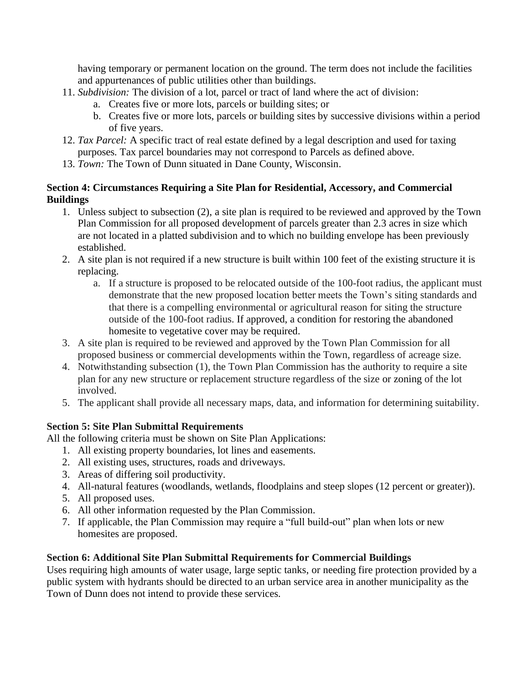having temporary or permanent location on the ground. The term does not include the facilities and appurtenances of public utilities other than buildings.

- 11. *Subdivision:* The division of a lot, parcel or tract of land where the act of division:
	- a. Creates five or more lots, parcels or building sites; or
	- b. Creates five or more lots, parcels or building sites by successive divisions within a period of five years.
- 12. *Tax Parcel:* A specific tract of real estate defined by a legal description and used for taxing purposes. Tax parcel boundaries may not correspond to Parcels as defined above.
- 13. *Town:* The Town of Dunn situated in Dane County, Wisconsin.

### **Section 4: Circumstances Requiring a Site Plan for Residential, Accessory, and Commercial Buildings**

- 1. Unless subject to subsection (2), a site plan is required to be reviewed and approved by the Town Plan Commission for all proposed development of parcels greater than 2.3 acres in size which are not located in a platted subdivision and to which no building envelope has been previously established.
- 2. A site plan is not required if a new structure is built within 100 feet of the existing structure it is replacing.
	- a. If a structure is proposed to be relocated outside of the 100-foot radius, the applicant must demonstrate that the new proposed location better meets the Town's siting standards and that there is a compelling environmental or agricultural reason for siting the structure outside of the 100-foot radius. If approved, a condition for restoring the abandoned homesite to vegetative cover may be required.
- 3. A site plan is required to be reviewed and approved by the Town Plan Commission for all proposed business or commercial developments within the Town, regardless of acreage size.
- 4. Notwithstanding subsection (1), the Town Plan Commission has the authority to require a site plan for any new structure or replacement structure regardless of the size or zoning of the lot involved.
- 5. The applicant shall provide all necessary maps, data, and information for determining suitability.

# **Section 5: Site Plan Submittal Requirements**

All the following criteria must be shown on Site Plan Applications:

- 1. All existing property boundaries, lot lines and easements.
- 2. All existing uses, structures, roads and driveways.
- 3. Areas of differing soil productivity.
- 4. All-natural features (woodlands, wetlands, floodplains and steep slopes (12 percent or greater)).
- 5. All proposed uses.
- 6. All other information requested by the Plan Commission.
- 7. If applicable, the Plan Commission may require a "full build-out" plan when lots or new homesites are proposed.

# **Section 6: Additional Site Plan Submittal Requirements for Commercial Buildings**

Uses requiring high amounts of water usage, large septic tanks, or needing fire protection provided by a public system with hydrants should be directed to an urban service area in another municipality as the Town of Dunn does not intend to provide these services.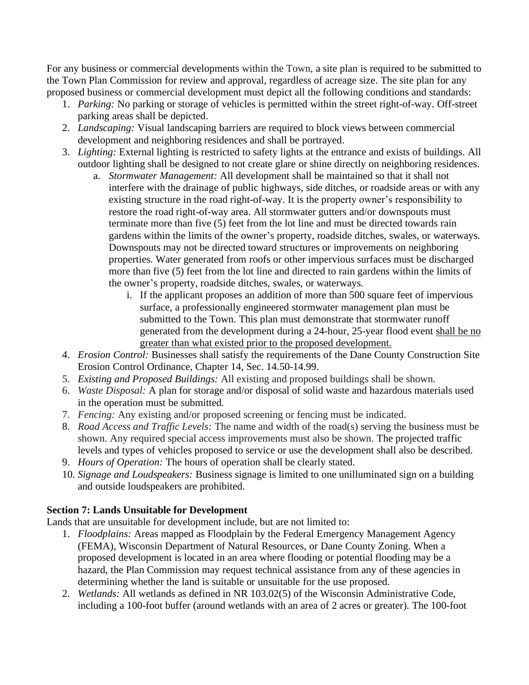For any business or commercial developments within the Town, a site plan is required to be submitted to the Town Plan Commission for review and approval, regardless of acreage size. The site plan for any proposed business or commercial development must depict all the following conditions and standards:

- 1. *Parking:* No parking or storage of vehicles is permitted within the street right-of-way. Off-street parking areas shall be depicted.
- 2. *Landscaping:* Visual landscaping barriers are required to block views between commercial development and neighboring residences and shall be portrayed.
- 3. *Lighting:* External lighting is restricted to safety lights at the entrance and exists of buildings. All outdoor lighting shall be designed to not create glare or shine directly on neighboring residences.
	- a. *Stormwater Management:* All development shall be maintained so that it shall not interfere with the drainage of public highways, side ditches, or roadside areas or with any existing structure in the road right-of-way. It is the property owner's responsibility to restore the road right-of-way area. All stormwater gutters and/or downspouts must terminate more than five (5) feet from the lot line and must be directed towards rain gardens within the limits of the owner's property, roadside ditches, swales, or waterways. Downspouts may not be directed toward structures or improvements on neighboring properties. Water generated from roofs or other impervious surfaces must be discharged more than five (5) feet from the lot line and directed to rain gardens within the limits of the owner's property, roadside ditches, swales, or waterways.
		- i. If the applicant proposes an addition of more than 500 square feet of impervious surface, a professionally engineered stormwater management plan must be submitted to the Town. This plan must demonstrate that stormwater runoff generated from the development during a 24-hour, 25-year flood event shall be no greater than what existed prior to the proposed development.
- 4. *Erosion Control:* Businesses shall satisfy the requirements of the Dane County Construction Site Erosion Control Ordinance, Chapter 14, Sec. 14.50-14.99.
- 5. *Existing and Proposed Buildings:* All existing and proposed buildings shall be shown.
- 6. *Waste Disposal:* A plan for storage and/or disposal of solid waste and hazardous materials used in the operation must be submitted.
- 7. *Fencing:* Any existing and/or proposed screening or fencing must be indicated.
- 8. *Road Access and Traffic Levels:* The name and width of the road(s) serving the business must be shown. Any required special access improvements must also be shown. The projected traffic levels and types of vehicles proposed to service or use the development shall also be described.
- 9. *Hours of Operation:* The hours of operation shall be clearly stated.
- 10. *Signage and Loudspeakers:* Business signage is limited to one unilluminated sign on a building and outside loudspeakers are prohibited.

# **Section 7: Lands Unsuitable for Development**

Lands that are unsuitable for development include, but are not limited to:

- 1. *Floodplains:* Areas mapped as Floodplain by the Federal Emergency Management Agency (FEMA), Wisconsin Department of Natural Resources, or Dane County Zoning. When a proposed development is located in an area where flooding or potential flooding may be a hazard, the Plan Commission may request technical assistance from any of these agencies in determining whether the land is suitable or unsuitable for the use proposed.
- 2. *Wetlands:* All wetlands as defined in NR 103.02(5) of the Wisconsin Administrative Code, including a 100-foot buffer (around wetlands with an area of 2 acres or greater). The 100-foot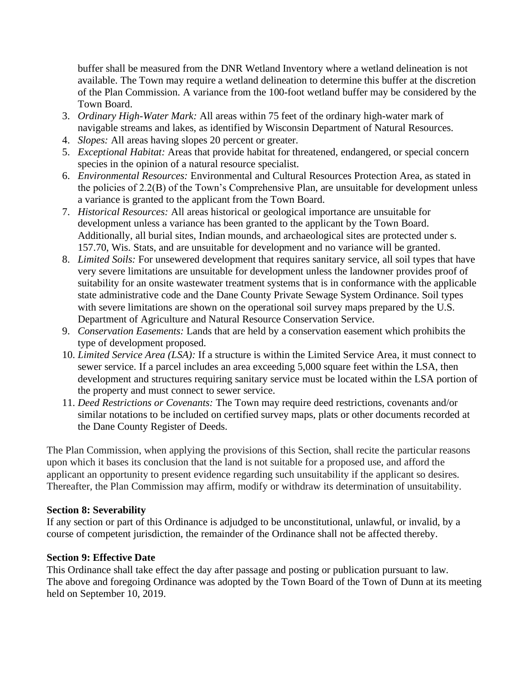buffer shall be measured from the DNR Wetland Inventory where a wetland delineation is not available. The Town may require a wetland delineation to determine this buffer at the discretion of the Plan Commission. A variance from the 100-foot wetland buffer may be considered by the Town Board.

- 3. *Ordinary High-Water Mark:* All areas within 75 feet of the ordinary high-water mark of navigable streams and lakes, as identified by Wisconsin Department of Natural Resources.
- 4. *Slopes:* All areas having slopes 20 percent or greater.
- 5. *Exceptional Habitat:* Areas that provide habitat for threatened, endangered, or special concern species in the opinion of a natural resource specialist.
- 6. *Environmental Resources:* Environmental and Cultural Resources Protection Area, as stated in the policies of 2.2(B) of the Town's Comprehensive Plan, are unsuitable for development unless a variance is granted to the applicant from the Town Board.
- 7. *Historical Resources:* All areas historical or geological importance are unsuitable for development unless a variance has been granted to the applicant by the Town Board. Additionally, all burial sites, Indian mounds, and archaeological sites are protected under s. 157.70, Wis. Stats, and are unsuitable for development and no variance will be granted.
- 8. *Limited Soils:* For unsewered development that requires sanitary service, all soil types that have very severe limitations are unsuitable for development unless the landowner provides proof of suitability for an onsite wastewater treatment systems that is in conformance with the applicable state administrative code and the Dane County Private Sewage System Ordinance. Soil types with severe limitations are shown on the operational soil survey maps prepared by the U.S. Department of Agriculture and Natural Resource Conservation Service.
- 9. *Conservation Easements:* Lands that are held by a conservation easement which prohibits the type of development proposed.
- 10. *Limited Service Area (LSA):* If a structure is within the Limited Service Area, it must connect to sewer service. If a parcel includes an area exceeding 5,000 square feet within the LSA, then development and structures requiring sanitary service must be located within the LSA portion of the property and must connect to sewer service.
- 11. *Deed Restrictions or Covenants:* The Town may require deed restrictions, covenants and/or similar notations to be included on certified survey maps, plats or other documents recorded at the Dane County Register of Deeds.

The Plan Commission, when applying the provisions of this Section, shall recite the particular reasons upon which it bases its conclusion that the land is not suitable for a proposed use, and afford the applicant an opportunity to present evidence regarding such unsuitability if the applicant so desires. Thereafter, the Plan Commission may affirm, modify or withdraw its determination of unsuitability.

### **Section 8: Severability**

If any section or part of this Ordinance is adjudged to be unconstitutional, unlawful, or invalid, by a course of competent jurisdiction, the remainder of the Ordinance shall not be affected thereby.

### **Section 9: Effective Date**

This Ordinance shall take effect the day after passage and posting or publication pursuant to law. The above and foregoing Ordinance was adopted by the Town Board of the Town of Dunn at its meeting held on September 10, 2019.